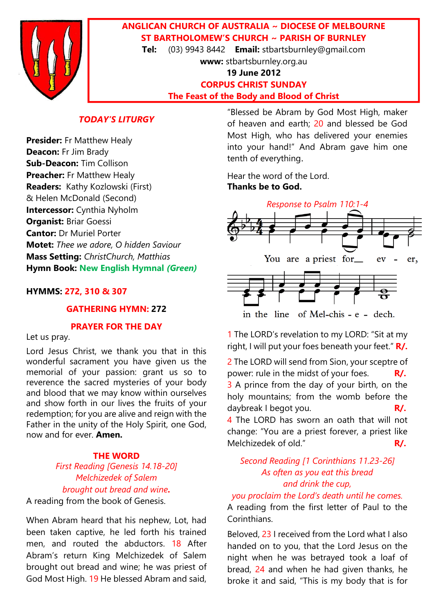

# **ANGLICAN CHURCH OF AUSTRALIA ~ DIOCESE OF MELBOURNE ST BARTHOLOMEW'S CHURCH ~ PARISH OF BURNLEY**

**Tel:** (03) 9943 8442 **Email:** stbartsburnley@gmail.com

**www:** stbartsburnley.org.au **19 June 2012**

# **CORPUS CHRIST SUNDAY**

**The Feast of the Body and Blood of Christ**

# *TODAY'S LITURGY*

**Presider:** Fr Matthew Healy **Deacon:** Fr Jim Brady **Sub-Deacon:** Tim Collison **Preacher:** Fr Matthew Healy **Readers:** Kathy Kozlowski (First) & Helen McDonald (Second) **Intercessor:** Cynthia Nyholm **Organist:** Briar Goessi **Cantor:** Dr Muriel Porter **Motet:** *Thee we adore, O hidden Saviour* **Mass Setting:** *ChristChurch, Matthias* **Hymn Book: New English Hymnal** *(Green)*

# **HYMMS: 272, 310 & 307**

**GATHERING HYMN: 272**

## **PRAYER FOR THE DAY**

Let us pray.

Lord Jesus Christ, we thank you that in this wonderful sacrament you have given us the memorial of your passion: grant us so to reverence the sacred mysteries of your body and blood that we may know within ourselves and show forth in our lives the fruits of your redemption; for you are alive and reign with the Father in the unity of the Holy Spirit, one God, now and for ever. **Amen.**

### **THE WORD**

*First Reading [Genesis 14.18-20] Melchizedek of Salem brought out bread and wine.*

A reading from the book of Genesis.

When Abram heard that his nephew, Lot, had been taken captive, he led forth his trained men, and routed the abductors. 18 After Abram's return King Melchizedek of Salem brought out bread and wine; he was priest of God Most High. 19 He blessed Abram and said, "Blessed be Abram by God Most High, maker of heaven and earth; 20 and blessed be God Most High, who has delivered your enemies into your hand!" And Abram gave him one tenth of everything.

Hear the word of the Lord. **Thanks be to God.**



1 The LORD's revelation to my LORD: "Sit at my right, I will put your foes beneath your feet." **R/.**

2 The LORD will send from Sion, your sceptre of power: rule in the midst of your foes. **R/.** 3 A prince from the day of your birth, on the holy mountains; from the womb before the daybreak I begot you. **R/.** 4 The LORD has sworn an oath that will not change: "You are a priest forever, a priest like Melchizedek of old." **R/.**

# *Second Reading [1 Corinthians 11.23-26] As often as you eat this bread and drink the cup,*

# *you proclaim the Lord's death until he comes.*

A reading from the first letter of Paul to the Corinthians.

Beloved, 23 I received from the Lord what I also handed on to you, that the Lord Jesus on the night when he was betrayed took a loaf of bread, 24 and when he had given thanks, he broke it and said, "This is my body that is for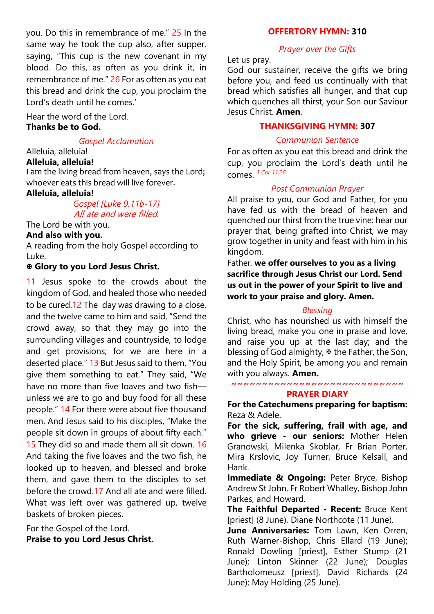you. Do this in remembrance of me." 25 In the same way he took the cup also, after supper, saying, "This cup is the new covenant in my blood. Do this, as often as you drink it, in remembrance of me." 26 For as often as you eat this bread and drink the cup, you proclaim the Lord's death until he comes.'

#### Hear the word of the Lord. **Thanks be to God.**

*Gospel Acclamation*

# Alleluia, alleluia!

**Alleluia, alleluia!** I am the living bread from heaven, says the Lord;

whoever eats this bread will live forever.

# **Alleluia, alleluia!**

### *Gospel [Luke 9.11b-17]* All ate and were filled.

The Lord be with you.

### **And also with you.**

A reading from the holy Gospel according to Luke.

### **Glory to you Lord Jesus Christ.**

11 Jesus spoke to the crowds about the kingdom of God, and healed those who needed to be cured.12 The day was drawing to a close, and the twelve came to him and said, "Send the crowd away, so that they may go into the surrounding villages and countryside, to lodge and get provisions; for we are here in a deserted place." 13 But Jesus said to them, "You give them something to eat." They said, "We have no more than five loaves and two fish unless we are to go and buy food for all these people." 14 For there were about five thousand men. And Jesus said to his disciples, "Make the people sit down in groups of about fifty each." 15 They did so and made them all sit down. 16 And taking the five loaves and the two fish, he looked up to heaven, and blessed and broke them, and gave them to the disciples to set before the crowd.17 And all ate and were filled. What was left over was gathered up, twelve baskets of broken pieces.

For the Gospel of the Lord. **Praise to you Lord Jesus Christ.**

### **OFFERTORY HYMN: 310**

### *Prayer over the Gifts*

### Let us pray.

God our sustainer, receive the gifts we bring before you, and feed us continually with that bread which satisfies all hunger, and that cup which quenches all thirst, your Son our Saviour Jesus Christ. **Amen**.

### **THANKSGIVING HYMN: 307**

### *Communion Sentence*

For as often as you eat this bread and drink the cup, you proclaim the Lord's death until he comes. *1 Cor 11:26*

### *Post Communion Prayer*

All praise to you, our God and Father, for you have fed us with the bread of heaven and quenched our thirst from the true vine: hear our prayer that, being grafted into Christ, we may grow together in unity and feast with him in his kingdom.

Father, **we offer ourselves to you as a living sacrifice through Jesus Christ our Lord. Send us out in the power of your Spirit to live and work to your praise and glory. Amen.**

### *Blessing*

Christ, who has nourished us with himself the living bread, make you one in praise and love, and raise you up at the last day; and the blessing of God almighty,  $\overline{x}$  the Father, the Son, and the Holy Spirit, be among you and remain with you always. **Amen.**

#### **~~~~~~~~~~~~~~~~~~~~~~~~~~~~ PRAYER DIARY**

**For the Catechumens preparing for baptism:**  Reza & Adele.

**For the sick, suffering, frail with age, and who grieve - our seniors:** Mother Helen Granowski, Milenka Skoblar, Fr Brian Porter, Mira Krslovic, Joy Turner, Bruce Kelsall, and Hank.

**Immediate & Ongoing: Peter Bryce, Bishop** Andrew St John, Fr Robert Whalley, Bishop John Parkes, and Howard.

**The Faithful Departed - Recent:** Bruce Kent [priest] (8 June), Diane Northcote (11 June).

**June Anniversaries:** Tom Lawn, Ken Orren, Ruth Warner-Bishop, Chris Ellard (19 June); Ronald Dowling [priest], Esther Stump (21 June); Linton Skinner (22 June); Douglas Bartholomeusz [priest], David Richards (24 June); May Holding (25 June).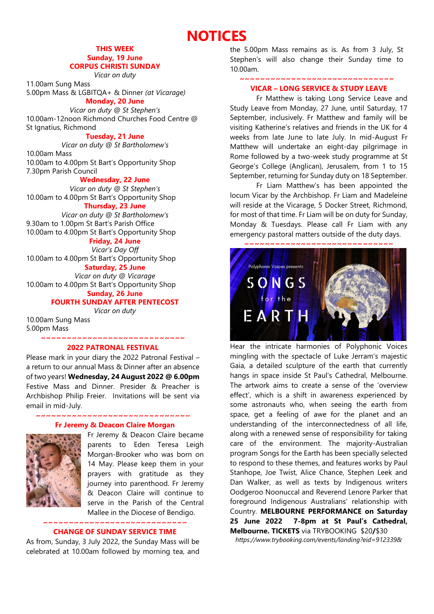# **NOTICES**

#### **THIS WEEK Sunday, 19 June CORPUS CHRISTI SUNDAY**

*Vicar on duty*

11.00am Sung Mass 5.00pm Mass & LGBITQA+ & Dinner *(at Vicarage)*

**Monday, 20 June** *Vicar on duty @ St Stephen's* 10.00am-12noon Richmond Churches Food Centre @ St Ignatius, Richmond

#### **Tuesday, 21 June**

*Vicar on duty @ St Bartholomew's* 10.00am Mass 10.00am to 4.00pm St Bart's Opportunity Shop 7.30pm Parish Council

> **Wednesday, 22 June** *Vicar on duty @ St Stephen's*

10.00am to 4.00pm St Bart's Opportunity Shop

**Thursday, 23 June**

*Vicar on duty @ St Bartholomew's* 9.30am to 1.00pm St Bart's Parish Office 10.00am to 4.00pm St Bart's Opportunity Shop

**Friday, 24 June**

*Vicar's Day Off* 10.00am to 4.00pm St Bart's Opportunity Shop **Saturday, 25 June**

*Vicar on duty @ Vicarage* 10.00am to 4.00pm St Bart's Opportunity Shop **Sunday, 26 June**

# **FOURTH SUNDAY AFTER PENTECOST**

*Vicar on duty*

10.00am Sung Mass 5.00pm Mass

> **~~~~~~~~~~~~~~~~~~~~~~~~~~~~ 2022 PATRONAL FESTIVAL**

Please mark in your diary the 2022 Patronal Festival – a return to our annual Mass & Dinner after an absence of two years! **Wednesday, 24 August 2022 @ 6.00pm** Festive Mass and Dinner. Presider & Preacher is Archbishop Philip Freier. Invitations will be sent via email in mid-July.

### **Fr Jeremy & Deacon Claire Morgan**

**~~~~~~~~~~~~~~~~~~~~~~~~~~~~~~**



Fr Jeremy & Deacon Claire became parents to Eden Teresa Leigh Morgan-Brooker who was born on 14 May. Please keep them in your prayers with gratitude as they journey into parenthood. Fr Jeremy & Deacon Claire will continue to serve in the Parish of the Central Mallee in the Diocese of Bendigo.

**~~~~~~~~~~~~~~~~~~~~~~~~~~~~**

#### **CHANGE OF SUNDAY SERVICE TIME**

As from, Sunday, 3 July 2022, the Sunday Mass will be celebrated at 10.00am followed by morning tea, and

the 5.00pm Mass remains as is. As from 3 July, St Stephen's will also change their Sunday time to 10.00am.

#### **~~~~~~~~~~~~~~~~~~~~~~~~~~~~~~ VICAR – LONG SERVICE & STUDY LEAVE**

Fr Matthew is taking Long Service Leave and Study Leave from Monday, 27 June, until Saturday, 17 September, inclusively. Fr Matthew and family will be visiting Katherine's relatives and friends in the UK for 4 weeks from late June to late July. In mid-August Fr Matthew will undertake an eight-day pilgrimage in Rome followed by a two-week study programme at St George's College (Anglican), Jerusalem, from 1 to 15 September, returning for Sunday duty on 18 September.

Fr Liam Matthew's has been appointed the locum Vicar by the Archbishop. Fr Liam and Madeleine will reside at the Vicarage, 5 Docker Street, Richmond, for most of that time. Fr Liam will be on duty for Sunday, Monday & Tuesdays. Please call Fr Liam with any emergency pastoral matters outside of the duty days.



Hear the intricate harmonies of Polyphonic Voices mingling with the spectacle of Luke Jerram's majestic Gaia, a detailed sculpture of the earth that currently hangs in space inside St Paul's Cathedral, Melbourne. The artwork aims to create a sense of the 'overview effect', which is a shift in awareness experienced by some astronauts who, when seeing the earth from space, get a feeling of awe for the planet and an understanding of the interconnectedness of all life, along with a renewed sense of responsibility for taking care of the environment. The majority-Australian program Songs for the Earth has been specially selected to respond to these themes, and features works by Paul Stanhope, Joe Twist, Alice Chance, Stephen Leek and Dan Walker, as well as texts by Indigenous writers Oodgeroo Noonuccal and Reverend Lenore Parker that foreground Indigenous Australians' relationship with Country. **MELBOURNE PERFORMANCE on Saturday 25 June 2022 7-8pm at St Paul's Cathedral, Melbourne. TICKETS** via TRYBOOKING \$20**/**\$30

*https://www.trybooking.com/events/landing?eid=912339&*